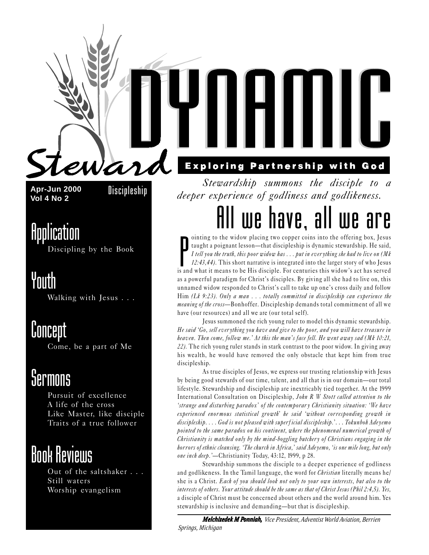

**Apr-Jun 2000 Vol 4 No 2** Discipleship

### Application

Discipling by the Book

### Youth

Walking with Jesus . . .

### Concept

Come, be a part of Me

### *<u>Sermons</u>*

Pursuit of excellence A life of the cross Like Master, like disciple Traits of a true follower

### Book Reviews

Out of the saltshaker . . . Still waters Worship evangelism

### **Exploring Partnership with God**

Stewardship summons the disciple to a deeper experience of godliness and godlikeness.

## All we have, all we are

inting to the widow placing two copper coins into the offering box, Jesus<br>taught a poignant lesson—that discipleship is dynamic stewardship. He said,<br>I tell you the truth, this poor widow has ... put in everything she had ointing to the widow placing two copper coins into the offering box, Jesus taught a poignant lesson-that discipleship is dynamic stewardship. He said, I tell you the truth, this poor widow has . . . put in ever ything she had to live on (Mk 12:43,44). This short narrative is integrated into the larger story of who Jesus as a powerful paradigm for Christ's disciples. By giving all she had to live on, this unnamed widow responded to Christ's call to take up one's cross daily and follow Him (Lk 9:23). Only a man . . . totally committed in discipleship can experience the meaning of the cross-Bonhoffer. Discipleship demands total commitment of all we have (our resources) and all we are (our total self).

Jesus summoned the rich young ruler to model this dynamic stewardship. He said 'Go, sell everything you have and give to the poor, and you will have treasure in heaven. Then come, follow me.' At this the man's face fell. He went away sad (Mk 10:21, 22). The rich young ruler stands in stark contrast to the poor widow. In giving away his wealth, he would have removed the only obstacle that kept him from true discipleship.

As true disciples of Jesus, we express our trusting relationship with Jesus by being good stewards of our time, talent, and all that is in our domain—our total lifestyle. Stewardship and discipleship are inextricably tied together. At the 1999 International Consultation on Discipleship, John R W Stott called attention to the 'strange and disturbing paradox' of the contemporary Christianity situation: 'We have experienced enormous statistical growth' he said 'without corresponding growth in discipleship. . . . God is not pleased with superficial discipleship.'. . . Tokunboh Adeyemo pointed to the same paradox on his continent, where the phenomenal numerical growth of Christianity is matched only by the mind-boggling butcher y of Christians engaging in the horrors of ethnic cleansing. 'The church in Africa,' said Adeyemo, 'is one mile long, but only one inch deep.'—Christianity Today, 43:12, 1999, p 28.

Stewardship summons the disciple to a deeper experience of godliness and godlikeness. In the Tamil language, the word for *Christian* literally means he/ she is a Christ. Each of you should look not only to your own interests, but also to the interests of others. Your at titude should be the same as that of Christ Jesus (Phil 2:4,5). Yes, a disciple of Christ must be concerned about others and the world around him. Yes stewardship is inclusive and demanding—but that is discipleship.

*Melchizedek M Ponniah, Vice President, Adventist World Aviation, Berrien Springs, Michigan*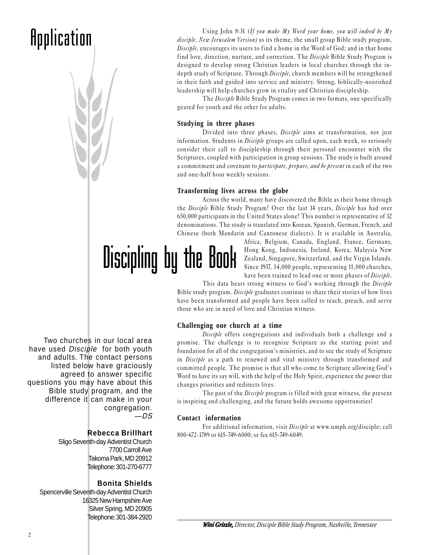## **Application**



The Disciple Bible Study Program comes in two formats, one specifically geared for youth and the other for adults.

#### **Studying in three phases**

Divided into three phases, *Disciple* aims at transformation, not just information. Students in *Disciple* groups are called upon, each week, to seriously consider their call to discipleship through their personal encounter with the Scriptures, coupled with participation in group sessions. The study is built around a commitment and covenant to *participate, prepare, and be present* in each of the two and one-half hour weekly sessions.

#### **Transforming lives across the globe**

Across the world, many have discovered the Bible as their home through the Disciple Bible Study Program! Over the last 14 years, Disciple has had over 650,000 participants in the United States alone! This number is representative of 32 denominations. The study is translated into Korean, Spanish, German, French, and Chinese (both Mandarin and Cantonese dialects). It is available in Australia,

> Africa, Belgium, Canada, England, France, Germany, Hong Kong, Indonesia, Ireland, Korea, Malaysia, New Zealand, Singapore, Switzerland, and the Virgin Islands. Since 1937, 34,000 people, representing 11,000 churches, have been trained to lead one or more phases of Disciple.

This data bears strong witness to God's working through the Disciple Bible study program. Disciple graduates continue to share their stories of how lives have been transformed and people have been called to teach, preach, and serve those who are in need of love and Christian witness.

#### **Challenging one church at a time**

Disciple offers congregations and individuals both a challenge and a promise. The challenge is to recognize Scripture as the starting point and foundation for all of the congregation's ministries, and to see the study of Scripture in *Disciple* as a path to renewed and vital ministry through transformed and committed people. The promise is that all who come to Scripture allowing God's Word to have its say will, with the help of the Holy Spirit, experience the power that changes priorities and redirects lives.

The past of the *Disciple* program is filled with great witness, the present is inspiring and challenging, and the future holds awesome opportunities!

#### **Contact information**

Discipling by the Book

For additional information, visit Disciple at www.umph.org/disciple; call 800-672-1789 or 615-749-6000; or fax 615-749-6049.

Two churches in our local area have used Disciple for both youth and adults. The contact persons listed below have graciously agreed to answer specific questions you may have about this Bible study program, and the difference it can make in your congregation. —DS

#### **Rebecca Brillhart**

Sligo Seventh-day Adventist Church 7700 Carroll Ave Takoma Park, MD 20912 Telephone: 301-270-6777

#### **Bonita Shields**

Spencerville Seventh-day Adventist Church 16325 New Hampshire Ave Silver Spring, MD 20905 Telephone: 301-384-2920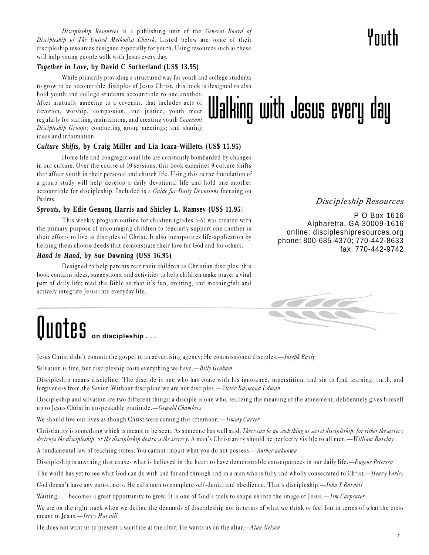Discipleship Resources is a publishing unit of the General Board of Discipleship of The United Methodist Church. Listed below are some of their discipleship resources designed especially for youth. Using resources such as these will help young people walk with Jesus every day.

#### *Together in Love,* **by David C Sutherland (US\$ 13.95)**

While primarily providing a structured way for youth and college students to grow to be accountable disciples of Jesus Christ, this book is designed to also

hold youth and college students accountable to one another. After mutually agreeing to a covenant that includes acts of devotion, worship, compassion, and justice, youth meet regularly for starting, maintaining, and creating youth Covenant Discipleship Groups; conducting group meetings; and sharing ideas and information.

#### *Culture Shifts,* **by Craig Miller and Lia Icaza-Willetts (US\$ 15.95)**

Home life and congregational life are constantly bombarded by changes in our culture. Over the course of 10 sessions, this book examines 9 culture shifts that affect youth in their personal and church life. Using this as the foundation of a group study will help develop a daily devotional life and hold one another accountable for discipleship. Included is a Guide for Daily Devotions focusing on Psalms.

#### *Sprouts,* **by Edie Genung Harris and Shirley L. Ramsey (US\$ 11.95**)

This weekly program outline for children (grades 3-6) was created with the primary purpose of encouraging children to regularly support one another in their efforts to live as disciples of Christ. It also incorporates life-application by helping them choose deeds that demonstrate their love for God and for others.

#### *Hand in Hand,* **by Sue Downing (US\$ 16.95)**

Designed to help parents rear their children as Christian disciples, this book contains ideas, suggestions, and activities to help children make prayer a vital part of daily life; read the Bible so that it's fun, exciting, and meaningful; and actively integrate Jesus into everyday life.

## Quotes **on discipleship . . .**

Jesus Christ didn't commit the gospel to an advertising agency; He commissioned disciples.—*Joseph Bayly* 

Salvation is free, but discipleship costs everything we have.— $Billy$  Graham

Discipleship means discipline. The disciple is one who has come with his ignorance, superstition, and sin to find learning, truth, and forgiveness from the Savior. Without discipline we are not disciples.—Victor Raymond Edman

Discipleship and salvation are two different things: a disciple is one who, realizing the meaning of the atonement, deliberately gives himself up to Jesus Christ in unspeakable gratitude. $-Oswald$ Chambers

We should live our lives as though Christ were coming this afternoon.—Jimmy Carter

Christianity is something which is meant to be seen. As someone has well said, There can be no such thing as secret discipleship, for either the secrecy destroys the discipleship, or the discipleship destroys the secrecy. A man's Christianity should be perfectly visible to all men.—William Barclay

A fundamental law of teaching states: You cannot impart what you do not possess.—Author unknown

Discipleship is anything that causes what is believed in the heart to have demonstrable consequences in our daily life.—Eugene Petersen

The world has yet to see what God can do with and for and through and in a man who is fully and wholly consecrated to Christ.—Henry Varley

God doesn't have any part-timers. He calls men to complete self-denial and obedience. That's discipleship.—John S Barnett

Waiting ... becomes a great opportunity to grow. It is one of God's tools to shape us into the image of Jesus.—*Jim Carpenter* 

We are on the right track when we define the demands of discipleship not in terms of what we think or feel but in terms of what the cross meant to Jesus.—Jerry Harvill

He does not want us to present a sacrifice at the altar; He wants us on the altar.—Alan Nelson

*Discipleship Resources*

P O Box 1616 Alpharetta, GA 30009-1616 online: discipleshipresources.org phone: 800-685-4370; 770-442-8633 fax: 770-442-9742





Youth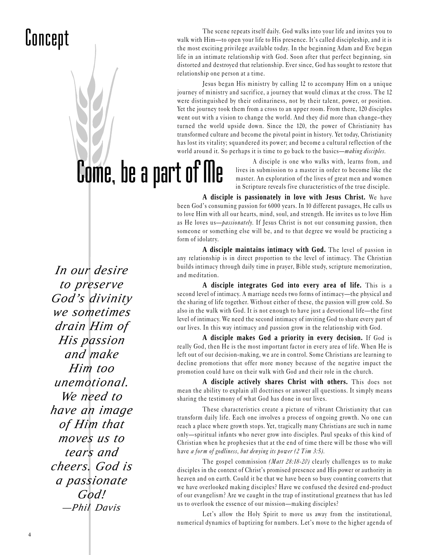### Concept

The scene repeats itself daily. God walks into your life and invites you to walk with Him—to open your life to His presence. It's called discipleship, and it is the most exciting privilege available today. In the beginning Adam and Eve began life in an intimate relationship with God. Soon after that perfect beginning, sin distorted and destroyed that relationship. Ever since, God has sought to restore that relationship one person at a time.

Jesus began His ministry by calling 12 to accompany Him on a unique journey of ministry and sacrifice, a journey that would climax at the cross. The 12 were distinguished by their ordinariness, not by their talent, power, or position. Yet the journey took them from a cross to an upper room. From there, 120 disciples went out with a vision to change the world. And they did more than change-they turned the world upside down. Since the 120, the power of Christianity has transformed culture and become the pivotal point in history. Yet today, Christianity has lost its vitality; squandered its power; and become a cultural reflection of the world around it. So perhaps it is time to go back to the basics—*making disciples*.

> A disciple is one who walks with, learns from, and lives in submission to a master in order to become like the master. An exploration of the lives of great men and women in Scripture reveals five characteristics of the true disciple.

**A disciple is passionately in love with Jesus Christ.** We have been God's consuming passion for 6000 years. In 10 different passages, He calls us to love Him with all our hearts, mind, soul, and strength. He invites us to love Him as He loves us-*passionately*. If Jesus Christ is not our consuming passion, then someone or something else will be, and to that degree we would be practicing a form of idolatry.

**A disciple maintains intimacy with God.** The level of passion in any relationship is in direct proportion to the level of intimacy. The Christian builds intimacy through daily time in prayer, Bible study, scripture memorization, and meditation.

**A disciple integrates God into every area of life.** This is a second level of intimacy. A marriage needs two forms of intimacy—the physical and the sharing of life together. Without either of these, the passion will grow cold. So also in the walk with God. It is not enough to have just a devotional life—the first level of intimacy. We need the second intimacy of inviting God to share every part of our lives. In this way intimacy and passion grow in the relationship with God.

**A disciple makes God a priority in every decision.** If God is really God, then He is the most important factor in every area of life. When He is left out of our decision-making, we are in control. Some Christians are learning to decline promotions that offer more money because of the negative impact the promotion could have on their walk with God and their role in the church.

**A disciple actively shares Christ with others.** This does not mean the ability to explain all doctrines or answer all questions. It simply means sharing the testimony of what God has done in our lives.

These characteristics create a picture of vibrant Christianity that can transform daily life. Each one involves a process of ongoing growth. No one can reach a place where growth stops. Yet, tragically many Christians are such in name only—spiritual infants who never grow into disciples. Paul speaks of this kind of Christian when he prophesies that at the end of time there will be those who will have a form of godliness, but denying its power (2 Tim 3:5).

The gospel commission (Matt 28:18-20) clearly challenges us to make disciples in the context of Christ's promised presence and His power or authority in heaven and on earth. Could it be that we have been so busy counting converts that we have overlooked making disciples? Have we confused the desired end-product of our evangelism? Are we caught in the trap of institutional greatness that has led us to overlook the essence of our mission—making disciples?

Let's allow the Holy Spirit to move us away from the institutional, numerical dynamics of baptizing for numbers. Let's move to the higher agenda of

*In our desire to preserve God's divinity we sometimes drain Him of His passion and make Him too unemotional. We need to have an image of Him that moves us to tears and cheers. God is a passionate God! —Phil Davis*

Come, be a part of Me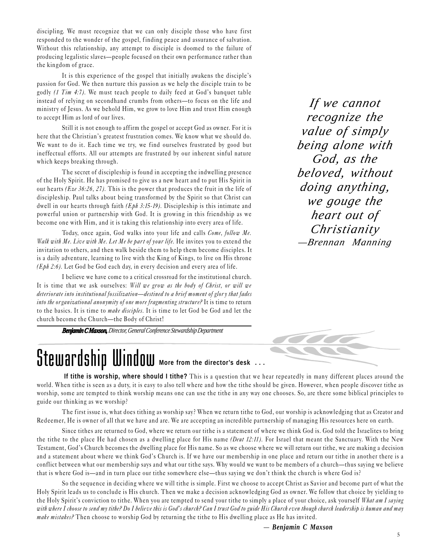discipling. We must recognize that we can only disciple those who have first responded to the wonder of the gospel, finding peace and assurance of salvation. Without this relationship, any attempt to disciple is doomed to the failure of producing legalistic slaves—people focused on their own performance rather than the kingdom of grace.

It is this experience of the gospel that initially awakens the disciple's passion for God. We then nurture this passion as we help the disciple train to be godly  $(1 Tim 4:7)$ . We must teach people to daily feed at God's banquet table instead of relying on secondhand crumbs from others-to focus on the life and ministry of Jesus. As we behold Him, we grow to love Him and trust Him enough to accept Him as lord of our lives.

Still it is not enough to affirm the gospel or accept God as owner. For it is here that the Christian's greatest frustration comes. We know what we should do. We want to do it. Each time we try, we find ourselves frustrated by good but ineffectual efforts. All our attempts are frustrated by our inherent sinful nature which keeps breaking through.

The secret of discipleship is found in accepting the indwelling presence of the Holy Spirit. He has promised to give us a new heart and to put His Spirit in our hearts (Eze 36:26, 27). This is the power that produces the fruit in the life of discipleship. Paul talks about being transformed by the Spirit so that Christ can dwell in our hearts through faith (*Eph 3:15-19*). Discipleship is this intimate and powerful union or partnership with God. It is growing in this friendship as we become one with Him, and it is taking this relationship into every area of life.

Today, once again, God walks into your life and calls Come, follow Me. Walk with Me. Live with Me. Let Me be part of your life. He invites you to extend the invitation to others, and then walk beside them to help them become disciples. It is a daily adventure, learning to live with the King of Kings, to live on His throne  $(Eph 2:6)$ . Let God be God each day, in every decision and every area of life.

I believe we have come to a critical crossroad for the institutional church. It is time that we ask ourselves: Will we grow as the body of Christ, or will we deteriorate into institutional fossilization—destined to a brief moment of glory that fades into the or ganizational anonymity of one more fragmenting structure? It is time to return to the basics. It is time to make disciples. It is time to let God be God and let the church become the Church-the Body of Christ!

*Benjamin C Maxson, Director, General Conference Stewardship Department*

*If we cannot recognize the value of simply being alone with God, as the beloved, without doing anything, we gouge the heart out of Christianity —Brennan Manning*



### *Stewardship Window More from the director's desk* **...**

 **If tithe is worship, where should I tithe?** This is a question that we hear repeatedly in many different places around the world. When tithe is seen as a duty, it is easy to also tell where and how the tithe should be given. However, when people discover tithe as worship, some are tempted to think worship means one can use the tithe in any way one chooses. So, are there some biblical principles to guide our thinking as we worship?

The first issue is, what does tithing as worship say? When we return tithe to God, our worship is acknowledging that as Creator and Redeemer, He is owner of all that we have and are. We are accepting an incredible partnership of managing His resources here on earth.

Since tithes are returned to God, where we return our tithe is a statement of where we think God is. God told the Israelites to bring the tithe to the place He had chosen as a dwelling place for His name (Deut 12:11). For Israel that meant the Sanctuary. With the New Testament, God's Church becomes the dwelling place for His name. So as we choose where we will return our tithe, we are making a decision and a statement about where we think God's Church is. If we have our membership in one place and return our tithe in another there is a conflict between what our membership says and what our tithe says. Why would we want to be members of a church—thus saying we believe that is where God is—and in turn place our tithe somewhere else—thus saying we don't think the church is where God is?

So the sequence in deciding where we will tithe is simple. First we choose to accept Christ as Savior and become part of what the Holy Spirit leads us to conclude is His church. Then we make a decision acknowledging God as owner. We follow that choice by yielding to the Holy Spirit's conviction to tithe. When you are tempted to send your tithe to simply a place of your choice, ask yourself What am I saying with where I choose to send my tithe? Do I believe this is God's church? Can I trust God to guide His Church even though church leadership is human and may make mistakes? Then choose to worship God by returning the tithe to His dwelling place as He has invited.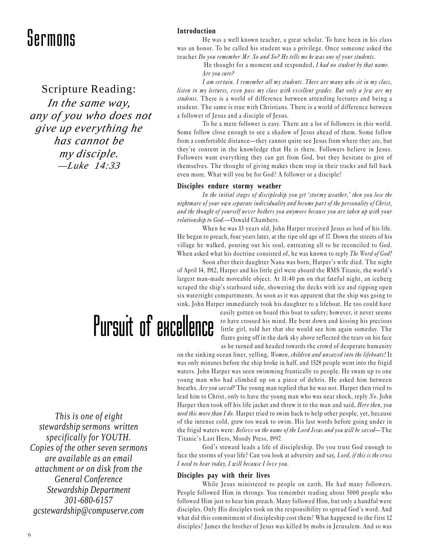Scripture Reading:

*In the same way, any of you who does not give up everything he has cannot be my disciple. —Luke 14:33*

#### **Introduction**

He was a well known teacher, a great scholar. To have been in his class was an honor. To be called his student was a privilege. Once someone asked the teacher Do you remember Mr. So and So? He tells me he was one of your students.

> He thought for a moment and responded, I had no student by that name. Are you sure?

I am certain. I remember all my students. There are many who sit in my class, listen to my lectures, even pass my class with excellent grades. But only a few are my students. There is a world of difference between attending lectures and being a student. The same is true with Christians. There is a world of difference between a follower of Jesus and a disciple of Jesus.

To be a mere follower is easy. There are a lot of followers in this world. Some follow close enough to see a shadow of Jesus ahead of them. Some follow from a comfortable distance—they cannot quite see Jesus from where they are, but they're content in the knowledge that He is there. Followers believe in Jesus. Followers want everything they can get from God, but they hesitate to give of themselves. The thought of giving makes them stop in their tracks and fall back even more. What will you be for God? A follower or a disciple?

#### **Disciples endure stormy weather**

In the initial stages of discipleship you get 'stormy weather,' then you lose the nightmare of your own separate individuality and become part of the personality of Christ, and the thought of yourself never bothers you anymore because you are taken up with your relationship to God.—Oswald Chambers.

When he was 13 years old, John Harper received Jesus as lord of his life. He began to preach, four years later, at the ripe old age of 17. Down the streets of his village he walked, pouring out his soul, entreating all to be reconciled to God. When asked what his doctrine consisted of, he was known to reply The Word of God!

Soon after their daughter Nana was born, Harper's wife died. The night of April 14, 1912, Harper and his little girl were aboard the RMS Titanic, the world's largest man-made moveable object. At 11:40 pm on that fateful night, an iceberg scraped the ship's starboard side, showering the decks with ice and ripping open six watertight compartments. As soon as it was apparent that the ship was going to sink, John Harper immediately took his daughter to a lifeboat. He too could have

## Pursuit of excellence

easily gotten on board this boat to safety; however, it never seems to have crossed his mind. He bent down and kissing his precious little girl, told her that she would see him again someday. The flares going off in the dark sky above reflected the tears on his face as he turned and headed towards the crowd of desperate humanity

on the sinking ocean liner, yelling, Women, children and unsaved into the lifeboats! It was only minutes before the ship broke in half, and 1528 people went into the frigid waters. John Harper was seen swimming frantically to people. He swam up to one young man who had climbed up on a piece of debris. He asked him between breaths, *Are you saved?* The young man replied that he was not. Harper then tried to lead him to Christ, only to have the young man who was near shock, reply No. John Harper then took off his life jacket and threw it to the man and said, *Here then*, you need this more than I do. Harper tried to swim back to help other people, yet, because of the intense cold, grew too weak to swim. His last words before going under in the frigid waters were: Believe on the name of the Lord Jesus and you will be saved—The Titanic's Last Hero, Moody Press, 1997.

God's steward leads a life of discipleship. Do you trust God enough to face the storms of your life? Can you look at adversity and say, Lord, if this is the cross I need to bear today, I will because I love you.

#### **Disciples pay with their lives**

While Jesus ministered to people on earth, He had many followers. People followed Him in throngs. You remember reading about 5000 people who followed Him just to hear him preach. Many followed Him, but only a handful were disciples. Only His disciples took on the responsibility to spread God's word. And what did this commitment of discipleship cost them? What happened to the first 12 disciples? James the brother of Jesus was killed by mobs in Jerusalem. And so was

*This is one of eight stewardship sermons written specifically for YOUTH. Copies of the other seven sermons are available as an email attachment or on disk from the General Conference Stewardship Department 301-680-6157 gcstewardship@compuserve.com*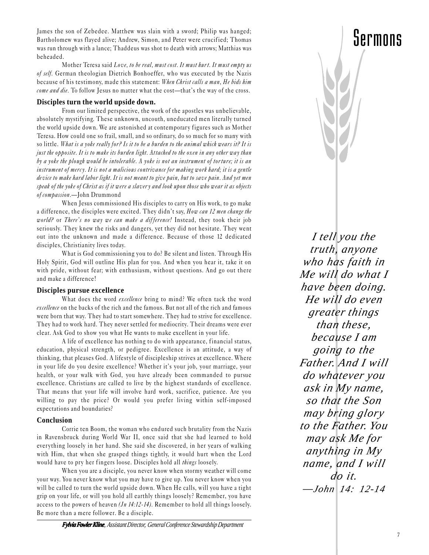James the son of Zebedee. Matthew was slain with a sword; Philip was hanged; Bartholomew was flayed alive; Andrew, Simon, and Peter were crucified; Thomas was run through with a lance; Thaddeus was shot to death with arrows; Matthias was beheaded.

Mother Teresa said Love, to be real, must cost. It must hurt. It must empty us of self. German theologian Dietrich Bonhoeffer, who was executed by the Nazis because of his testimony, made this statement: When Christ calls a man, He bids him come and die. To follow Jesus no matter what the cost—that's the way of the cross.

#### **Disciples turn the world upside down.**

From our limited perspective, the work of the apostles was unbelievable, absolutely mystifying. These unknown, uncouth, uneducated men literally turned the world upside down. We are astonished at contemporary figures such as Mother Teresa. How could one so frail, small, and so ordinary, do so much for so many with so little. What is a yoke really for? Is it to be a burden to the animal which wears it? It is just the opposite. It is to make its burden light. Attached to the oxen in any other way than by a yoke the plough would be intolerable. A yoke is not an instrument of torture; it is an instrument of mercy. It is not a malicious contrivance for making work hard; it is a gentle de vice to make hard labor light. It is not meant to give pain, but to save pain. And yet men speak of the yoke of Christ as if it were a slaver y and look upon those who wear it as objects of compassion.-John Drummond

When Jesus commissioned His disciples to carry on His work, to go make a difference, the disciples were excited. They didn't say, How can 12 men change the world? or There's no way we can make a difference! Instead, they took their job seriously. They knew the risks and dangers, yet they did not hesitate. They went out into the unknown and made a difference. Because of those 12 dedicated disciples, Christianity lives today.

What is God commissioning you to do? Be silent and listen. Through His Holy Spirit, God will outline His plan for you. And when you hear it, take it on with pride, without fear; with enthusiasm, without questions. And go out there and make a difference!

#### **Disciples pursue excellence**

What does the word excellence bring to mind? We often tack the word excellence on the backs of the rich and the famous. But not all of the rich and famous were born that way. They had to start somewhere. They had to strive for excellence. They had to work hard. They never settled for mediocrity. Their dreams were ever clear. Ask God to show you what He wants to make excellent in your life.

A life of excellence has nothing to do with appearance, financial status, education, physical strength, or pedigree. Excellence is an attitude, a way of thinking, that pleases God. A lifestyle of discipleship strives at excellence. Where in your life do you desire excellence? Whether it's your job, your marriage, your health, or your walk with God, you have already been commanded to pursue excellence. Christians are called to live by the highest standards of excellence. That means that your life will involve hard work, sacrifice, patience. Are you willing to pay the price? Or would you prefer living within self-imposed expectations and boundaries?

#### **Conclusion**

Corrie ten Boom, the woman who endured such brutality from the Nazis in Ravensbruck during World War II, once said that she had learned to hold everything loosely in her hand. She said she discovered, in her years of walking with Him, that when she grasped things tightly, it would hurt when the Lord would have to pry her fingers loose. Disciples hold all *things* loosely.

When you are a disciple, you never know when stormy weather will come your way. You never know what you may have to give up. You never know when you will be called to turn the world upside down. When He calls, will you have a tight grip on your life, or will you hold all earthly things loosely? Remember, you have access to the powers of heaven (*Jn 14:12-14*). Remember to hold all things loosely. Be more than a mere follower. Be a disciple.

*who has faith in Me will do what I have been doing. He will do even greater things than these, because I am going to the Father. And I will do whatever you ask in My name, so that the Son may bring glory to the Father. You may ask Me for anything in My name, and I will do it. —John 14: 12-14*

*I tell you the truth, anyone*



### Sermons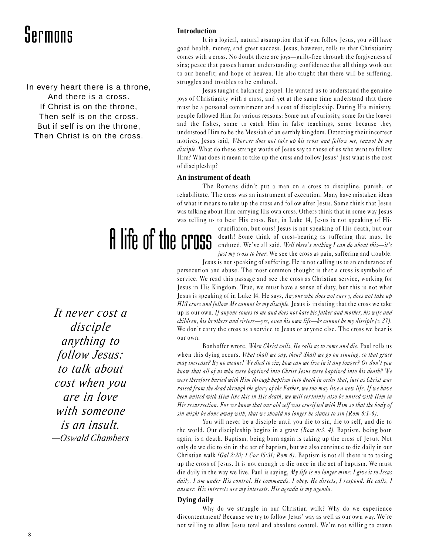In every heart there is a throne, And there is a cross. If Christ is on the throne, Then self is on the cross. But if self is on the throne, Then Christ is on the cross.

# A life of the cross

**Introduction**

It is a logical, natural assumption that if you follow Jesus, you will have good health, money, and great success. Jesus, however, tells us that Christianity comes with a cross. No doubt there are joys-guilt-free through the forgiveness of sins; peace that passes human understanding; confidence that all things work out to our benefit; and hope of heaven. He also taught that there will be suffering, struggles and troubles to be endured.

Jesus taught a balanced gospel. He wanted us to understand the genuine joys of Christianity with a cross, and yet at the same time understand that there must be a personal commitment and a cost of discipleship. During His ministry, people followed Him for various reasons: Some out of curiosity, some for the loaves and the fishes, some to catch Him in false teachings, some because they understood Him to be the Messiah of an earthly kingdom. Detecting their incorrect motives, Jesus said, Whoever does not take up his cross and follow me, cannot be my disciple. What do these strange words of Jesus say to those of us who want to follow Him? What does it mean to take up the cross and follow Jesus? Just what is the cost of discipleship?

#### **An instrument of death**

The Romans didn't put a man on a cross to discipline, punish, or rehabilitate. The cross was an instrument of execution. Many have mistaken ideas of what it means to take up the cross and follow after Jesus. Some think that Jesus was talking about Him carrying His own cross. Others think that in some way Jesus was telling us to bear His cross. But, in Luke 14, Jesus is not speaking of His

> crucifixion, but ours! Jesus is not speaking of His death, but our death! Some think of cross-bearing as suffering that must be endured. We've all said, Well there's nothing I can do about this—it's just my cross to bear. We see the cross as pain, suffering and trouble.

Jesus is not speaking of suffering. He is not calling us to an endurance of persecution and abuse. The most common thought is that a cross is symbolic of service. We read this passage and see the cross as Christian service, working for Jesus in His Kingdom. True, we must have a sense of duty, but this is not what Jesus is speaking of in Luke 14. He says, Anyone who does not carry, does not take up HIS cross and follow Me cannot be my disciple. Jesus is insisting that the cross we take up is our own. If anyone comes to me and does not hate his father and mother, his wife and children, his brothers and sisters—yes, even his own life—he cannot be my disciple (v 27). We don't carry the cross as a service to Jesus or anyone else. The cross we bear is our own.

Bonhoffer wrote, When Christ calls, He calls us to come and die. Paul tells us when this dying occurs. What shall we say, then? Shall we go on sinning, so that grace may increase? By no means! We died to sin; how can we live in it any longer? Or don't you know that all of us who were baptized into Christ Jesus were baptized into his death? We were therefore buried with Him through baptism into death in order that, just as Christ was raised from the dead through the glory of the Father, we too may live a new life. If we have been united with Him like this in His death, we will certainly also be united with Him in His resurrection. For we know that our old self was crucified with Him so that the body of sin might be done away with, that we should no longer be slaves to sin (Rom 6:1-6).

You will never be a disciple until you die to sin, die to self, and die to the world. Our discipleship begins in a grave (Rom 6:3, 4). Baptism, being born again, is a death. Baptism, being born again is taking up the cross of Jesus. Not only do we die to sin in the act of baptism, but we also continue to die daily in our Christian walk (Gal 2:20; 1 Cor 15:31; Rom 6). Baptism is not all there is to taking up the cross of Jesus. It is not enough to die once in the act of baptism. We must die daily in the way we live. Paul is saying, My life is no longer mine: I give it to Jesus daily. I am under His control. He commands, I obey. He directs, I respond. He calls, I answer. His interests are my interests. His agenda is my agenda.

#### **Dying daily**

Why do we struggle in our Christian walk? Why do we experience discontentment? Because we try to follow Jesus' way as well as our own way. We're not willing to allow Jesus total and absolute control. We're not willing to crown

*It never cost a disciple anything to follow Jesus: to talk about cost when you are in love with someone is an insult. —Oswald Chambers*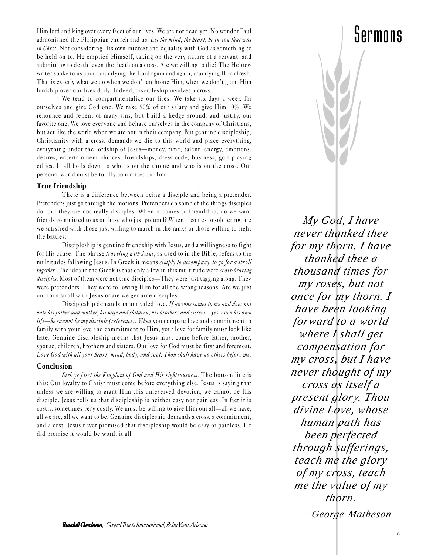Him lord and king over every facet of our lives. We are not dead yet. No wonder Paul admonished the Philippian church and us, Let the mind, the heart, be in you that was in Chris. Not considering His own interest and equality with God as something to be held on to, He emptied Himself, taking on the very nature of a servant, and submitting to death, even the death on a cross. Are we willing to die? The Hebrew writer spoke to us about crucifying the Lord again and again, crucifying Him afresh. That is exactly what we do when we don't enthrone Him, when we don't grant Him lordship over our lives daily. Indeed, discipleship involves a cross.

We tend to compartmentalize our lives. We take six days a week for ourselves and give God one. We take 90% of our salary and give Him 10%. We renounce and repent of many sins, but build a hedge around, and justify, our favorite one. We love everyone and behave ourselves in the company of Christians, but act like the world when we are not in their company. But genuine discipleship, Christianity with a cross, demands we die to this world and place everything, everything under the lordship of Jesus-money, time, talent, energy, emotions, desires, entertainment choices, friendships, dress code, business, golf playing ethics. It all boils down to who is on the throne and who is on the cross. Our personal world must be totally committed to Him.

#### **True friendship**

There is a difference between being a disciple and being a pretender. Pretenders just go through the motions. Pretenders do some of the things disciples do, but they are not really disciples. When it comes to friendship, do we want friends committed to us or those who just pretend? When it comes to soldiering, are we satisfied with those just willing to march in the ranks or those willing to fight the battles.

Discipleship is genuine friendship with Jesus, and a willingness to fight for His cause. The phrase traveling with Jesus, as used to in the Bible, refers to the multitudes following Jesus. In Greek it means simply to accompany, to go for a stroll together. The idea in the Greek is that only a few in this multitude were cross-bearing disciples. Most of them were not true disciples—They were just tagging along. They were pretenders. They were following Him for all the wrong reasons. Are we just out for a stroll with Jesus or are we genuine disciples?

Discipleship demands an unrivaled love. If anyone comes to me and does not hate his father and mother, his wife and children, his brothers and sisters—yes, even his own life—he cannot be my disciple (reference). When you compare love and commitment to family with your love and commitment to Him, your love for family must look like hate. Genuine discipleship means that Jesus must come before father, mother, spouse, children, brothers and sisters. Our love for God must be first and foremost. Love God with all your heart, mind, body, and soul. Thou shall have no others before me.

#### **Conclusion**

Seek ye first the Kingdom of God and His righteousness. The bottom line is this: Our loyalty to Christ must come before everything else. Jesus is saying that unless we are willing to grant Him this unreserved devotion, we cannot be His disciple. Jesus tells us that discipleship is neither easy nor painless. In fact it is costly, sometimes very costly. We must be willing to give Him our all—all we have, all we are, all we want to be. Genuine discipleship demands a cross, a commitment, and a cost. Jesus never promised that discipleship would be easy or painless. He did promise it would be worth it all.



*My God, I have never thanked thee for my thorn. I have thanked thee a thousand times for my roses, but not once for my thorn. I have been looking forward to a world where I shall get compensation for my cross, but I have never thought of my cross as itself a present glory. Thou divine Love, whose human path has been perfected through sufferings, teach me the glory of my cross, teach me the value of my thorn.*

*Randall Caselman, Gospel Tracts International, Bella Vista, Arizona*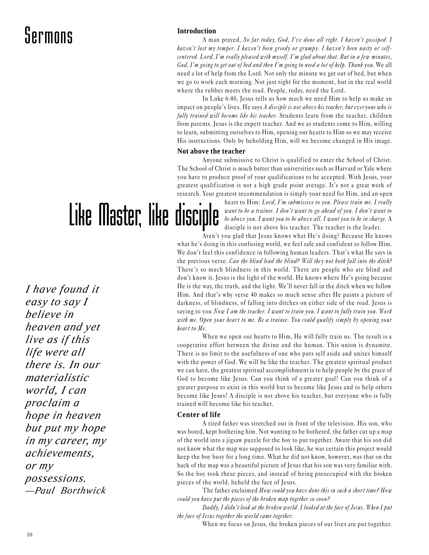#### **Introduction**

A man prayed, So far today, God, I've done all right. I haven't gossiped. I haven't lost my temper. I haven't been greedy or grumpy. I haven't been nasty or selfcentered. Lord, I'm really pleased with myself. I'm glad about that. But in a few minutes, God, I'm going to get out of bed and then I'm going to need a lot of help. Thank you. We all need a lot of help from the Lord. Not only the minute we get out of bed, but when we go to work each morning. Not just right for the moment, but in the real world where the rubber meets the road. People, today, need the Lord.

In Luke 6:40, Jesus tells us how much we need Him to help us make an impact on people's lives. He says A disciple is not above his teacher, but everyone who is fully trained will become like his teacher. Students learn from the teacher, children from parents. Jesus is the expert teacher. And we as students come to Him, willing to learn, submitting ourselves to Him, opening our hearts to Him so we may receive His instructions. Only by beholding Him, will we become changed in His image.

#### **Not above the teacher**

Anyone submissive to Christ is qualified to enter the School of Christ. The School of Christ is much better than universities such as Harvard or Yale where you have to produce proof of your qualifications to be accepted. With Jesus, your greatest qualification is not a high grade point average. It's not a great work of research. Your greatest recommendation is simply your need for Him, and an open

## Like Master, like disciple

*I have found it easy to say I believe in heaven and yet live as if this life were all there is. In our materialistic world, I can proclaim a hope in heaven but put my hope in my career, my achievements, or my possessions. —Paul Borthwick*

heart to Him: Lord, I'm submissive to you. Please train me. I really want to be a trainee. I don't want to go ahead of you. I don't want to be above you. I want you to be above all. I want you to be in charge. A disciple is not above his teacher. The teacher is the leader.

Aren't you glad that Jesus knows what He's doing? Because He knows what he's doing in this confusing world, we feel safe and confident to follow Him. We don't feel this confidence in following human leaders. That's what He says in the previous verse. Can the blind lead the blind? Will they not both fall into the ditch? There's so much blindness in this world. There are people who are blind and don't know it. Jesus is the light of the world. He knows where He's going because He is the way, the truth, and the light. We'll never fall in the ditch when we follow Him. And that's why verse 40 makes so much sense after He paints a picture of darkness, of blindness, of falling into ditches on either side of the road. Jesus is saying to you Now I am the teacher. I want to train you. I want to fully train you. Work with me. Open your heart to me. Be a trainee. You could qualify simply by opening your heart to Me.

When we open our hearts to Him, He will fully train us. The result is a cooperative effort between the divine and the human. This union is dynamite. There is no limit to the usefulness of one who puts self aside and unites himself with the power of God. We will be like the teacher. The greatest spiritual product we can have, the greatest spiritual accomplishment is to help people by the grace of God to become like Jesus. Can you think of a greater goal? Can you think of a greater purpose to exist in this world but to become like Jesus and to help others become like Jesus? A disciple is not above his teacher, but everyone who is fully trained will become like his teacher.

#### **Center of life**

A tired father was stretched out in front of the television. His son, who was bored, kept bothering him. Not wanting to be bothered, the father cut up a map of the world into a jigsaw puzzle for the boy to put together. Aware that his son did not know what the map was supposed to look like, he was certain this project would keep the boy busy for a long time. What he did not know, however, was that on the back of the map was a beautiful picture of Jesus that his son was very familiar with. So the boy took these pieces, and instead of being preoccupied with the broken pieces of the world, beheld the face of Jesus.

The father exclaimed How could you have done this in such a short time? How could you have put the pieces of the broken map together so soon?

Daddy, I didn't look at the broken world. I looked at the face of Jesus. When I put the face of Jesus together the world came together.

When we focus on Jesus, the broken pieces of our lives are put together.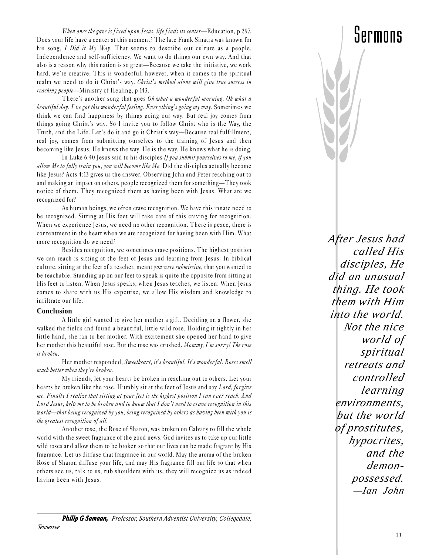When once the gaze is fixed upon Jesus, life finds its center-Education, p 297. Does your life have a center at this moment? The late Frank Sinatra was known for his song, I Did it My Way. That seems to describe our culture as a people. Independence and self-sufficiency. We want to do things our own way. And that also is a reason why this nation is so great—Because we take the initiative, we work hard, we're creative. This is wonderful; however, when it comes to the spiritual realm we need to do it Christ's way. Christ's method alone will give true success in reaching people—Ministry of Healing, p 143.

There's another song that goes Oh what a wonderful morning. Oh what a beautiful day. I've got this wonderful feeling. Everything's going my way. Sometimes we think we can find happiness by things going our way. But real joy comes from things going Christ's way. So I invite you to follow Christ who is the Way, the Truth, and the Life. Let's do it and go it Christ's way-Because real fulfillment, real joy, comes from submitting ourselves to the training of Jesus and then becoming like Jesus. He knows the way. He is the way. He knows what he is doing.

In Luke 6:40 Jesus said to his disciples If you submit yourselves to me, if you allow Me to fully train you, you will become like Me. Did the disciples actually become like Jesus? Acts 4:13 gives us the answer. Observing John and Peter reaching out to and making an impact on others, people recognized them for something—They took notice of them. They recognized them as having been with Jesus. What are we recognized for?

As human beings, we often crave recognition. We have this innate need to be recognized. Sitting at His feet will take care of this craving for recognition. When we experience Jesus, we need no other recognition. There is peace, there is contentment in the heart when we are recognized for having been with Him. What more recognition do we need?

Besides recognition, we sometimes crave positions. The highest position we can reach is sitting at the feet of Jesus and learning from Jesus. In biblical culture, sitting at the feet of a teacher, meant you were submissive, that you wanted to be teachable. Standing up on our feet to speak is quite the opposite from sitting at His feet to listen. When Jesus speaks, when Jesus teaches, we listen. When Jesus comes to share with us His expertise, we allow His wisdom and knowledge to infiltrate our life.

#### **Conclusion**

A little girl wanted to give her mother a gift. Deciding on a flower, she walked the fields and found a beautiful, little wild rose. Holding it tightly in her little hand, she ran to her mother. With excitement she opened her hand to give her mother this beautiful rose. But the rose was crushed. Mommy, I'm sorry! The rose is broken.

Her mother responded, Sweetheart, it's beautiful. It's wonderful. Roses smell much better when they're broken.

My friends, let your hearts be broken in reaching out to others. Let your hearts be broken like the rose. Humbly sit at the feet of Jesus and say Lord, forgive me. Finally I realize that sitting at your feet is the highest position I can ever reach. And Lord Jesus, help me to be broken and to know that I don't need to crave recognition in this world—that being recognized by you, being recognized by others as having been with you is the greatest recognition of all.

Another rose, the Rose of Sharon, was broken on Calvary to fill the whole world with the sweet fragrance of the good news. God invites us to take up our little wild roses and allow them to be broken so that our lives can be made fragrant by His fragrance. Let us diffuse that fragrance in our world. May the aroma of the broken Rose of Sharon diffuse your life, and may His fragrance fill our life so that when others see us, talk to us, rub shoulders with us, they will recognize us as indeed having been with Jesus.

*After Jesus had called His disciples, He did an unusual thing. He took them with Him into the world. Not the nice world of spiritual retreats and controlled learning environments, but the world of prostitutes, hypocrites, and the demonpossessed. —Ian John*

Sermons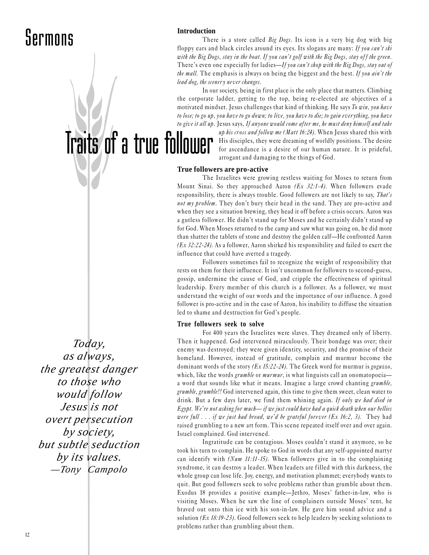#### **Introduction**

Traits of a true follower

There is a store called Big Dogs. Its icon is a very big dog with big floppy ears and black circles around its eyes. Its slogans are many: If you can't ski with the Big Dogs, stay in the boat. If you can't golf with the Big Dogs, stay off the green. There's even one especially for ladies—If you can't shop with the Big Dogs, stay out of the mall. The emphasis is always on being the biggest and the best. If you ain't the lead dog, the scenery never changes.

In our society, being in first place is the only place that matters. Climbing the corporate ladder, getting to the top, being re-elected are objectives of a motivated mindset. Jesus challenges that kind of thinking. He says To win, you have to lose; to go up, you have to go down; to live, you have to die; to gain ever ything, you have to give it all up. Jesus says, If anyone would come after me, he must deny himself and take

> up his cross and follow me (Matt 16:24). When Jesus shared this with His disciples, they were dreaming of worldly positions. The desire for ascendance is a desire of our human nature. It is prideful, arrogant and damaging to the things of God.

#### **True followers are pro-active**

The Israelites were growing restless waiting for Moses to return from Mount Sinai. So they approached Aaron  $(Ex\ 32:1-4)$ . When followers evade responsibility, there is always trouble. Good followers are not likely to say, That's not my problem. They don't bury their head in the sand. They are pro-active and when they see a situation brewing, they head it off before a crisis occurs. Aaron was a gutless follower. He didn't stand up for Moses and he certainly didn't stand up for God. When Moses returned to the camp and saw what was going on, he did more than shatter the tablets of stone and destroy the golden calf—He confronted Aaron (Ex 32:22-24). As a follower, Aaron shirked his responsibility and failed to exert the influence that could have averted a tragedy.

Followers sometimes fail to recognize the weight of responsibility that rests on them for their influence. It isn't uncommon for followers to second-guess, gossip, undermine the cause of God, and cripple the effectiveness of spiritual leadership. Every member of this church is a follower. As a follower, we must understand the weight of our words and the importance of our influence. A good follower is pro-active and in the case of Aaron, his inability to diffuse the situation led to shame and destruction for God's people.

#### **True followers seek to solve**

For 400 years the Israelites were slaves. They dreamed only of liberty. Then it happened. God intervened miraculously. Their bondage was over; their enemy was destroyed; they were given identity, security, and the promise of their homeland. However, instead of gratitude, complain and murmur become the dominant words of the story  $(Ex\ 15:22-24)$ . The Greek word for murmur is goguzzo, which, like the words *grumble* or *murmur*, is what linguists call an onomatopoeiaa word that sounds like what it means. Imagine a large crowd chanting grumble, grumble, grumble!! God intervened again, this time to give them sweet, clean water to drink. But a few days later, we find them whining again. If only we had died in Egypt. We're not asking for much— if we just could have had a quick death when our bellies were full  $\ldots$  if we just had bread, we'd be grateful forever (Ex 16:2, 3). They had raised grumbling to a new art form. This scene repeated itself over and over again. Israel complained. God intervened.

Ingratitude can be contagious. Moses couldn't stand it anymore, so he took his turn to complain. He spoke to God in words that any self-appointed martyr can identify with  $(Num 11:11-15)$ . When followers give in to the complaining syndrome, it can destroy a leader. When leaders are filled with this darkness, the whole group can lose life. Joy, energy, and motivation plummet; everybody wants to quit. But good followers seek to solve problems rather than grumble about them. Exodus 18 provides a positive example-Jethro, Moses' father-in-law, who is visiting Moses. When he saw the line of complainers outside Moses' tent, he braved out onto thin ice with his son-in-law. He gave him sound advice and a solution ( $Ex\ 18:19-23$ ). Good followers seek to help leaders by seeking solutions to problems rather than grumbling about them.

*Today, as always, the greatest danger to those who would follow Jesus is not overt persecution by society, but subtle seduction by its values. —Tony Campolo*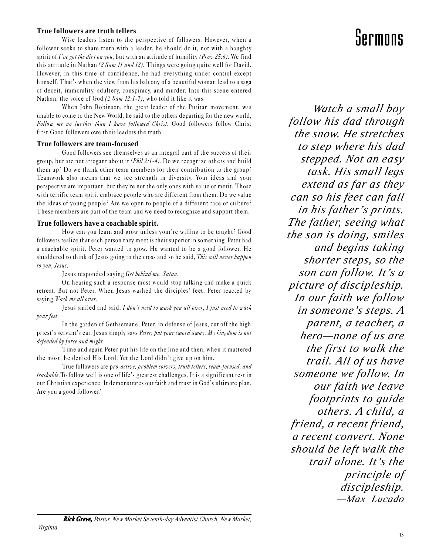#### **True followers are truth tellers**

Wise leaders listen to the perspective of followers. However, when a follower seeks to share truth with a leader, he should do it, not with a haughty spirit of I've got the dirt on you, but with an attitude of humility (Prov 25:6). We find this attitude in Nathan (2 Sam 11 and 12). Things were going quite well for David. However, in this time of confidence, he had everything under control except himself. That's when the view from his balcony of a beautiful woman lead to a saga of deceit, immorality, adultery, conspiracy, and murder. Into this scene entered Nathan, the voice of God (2 Sam 12:1-7), who told it like it was.

When John Robinson, the great leader of the Puritan movement, was unable to come to the New World, he said to the others departing for the new world, Follow me no further than I have followed Christ. Good followers follow Christ first.Good followers owe their leaders the truth.

#### **True followers are team-focused**

Good followers see themselves as an integral part of the success of their group, but are not arrogant about it (Phil 2:1-4). Do we recognize others and build them up? Do we thank other team members for their contribution to the group? Teamwork also means that we see strength in diversity. Your ideas and your perspective are important, but they're not the only ones with value or merit. Those with terrific team spirit embrace people who are different from them. Do we value the ideas of young people? Are we open to people of a different race or culture? These members are part of the team and we need to recognize and support them.

#### **True followers have a coachable spirit.**

How can you learn and grow unless your're willing to be taught? Good followers realize that each person they meet is their superior in something. Peter had a coachable spirit. Peter wanted to grow. He wanted to be a good follower. He shuddered to think of Jesus going to the cross and so he said, This will never happen to you, Jesus.

Jesus responded saying Get behind me, Satan.

On hearing such a response most would stop talking and make a quick retreat. But not Peter. When Jesus washed the disciples' feet, Peter reacted by saying Wash me all over.

Jesus smiled and said, I don't need to wash you all over, I just need to wash your feet.

In the garden of Gethsemane, Peter, in defense of Jesus, cut off the high priest's servant's ear. Jesus simply says *Peter, put your sword away. My kingdom is not* defended by force and might

Time and again Peter put his life on the line and then, when it mattered the most, he denied His Lord. Yet the Lord didn't give up on him.

True followers are pro-active, problem solvers, truth tellers, team-focused, and teachable. To follow well is one of life's greatest challenges. It is a significant test in our Christian experience. It demonstrates our faith and trust in God's ultimate plan. Are you a good follower?

### Sermons

*Watch a small boy follow his dad through the snow. He stretches to step where his dad stepped. Not an easy task. His small legs extend as far as they can so his feet can fall in his father's prints. The father, seeing what the son is doing, smiles and begins taking shorter steps, so the son can follow. It's a picture of discipleship. In our faith we follow in someone's steps. A parent, a teacher, a hero—none of us are the first to walk the trail. All of us have someone we follow. In our faith we leave footprints to guide others. A child, a friend, a recent friend, a recent convert. None should be left walk the trail alone. It's the principle of discipleship. —Max Lucado*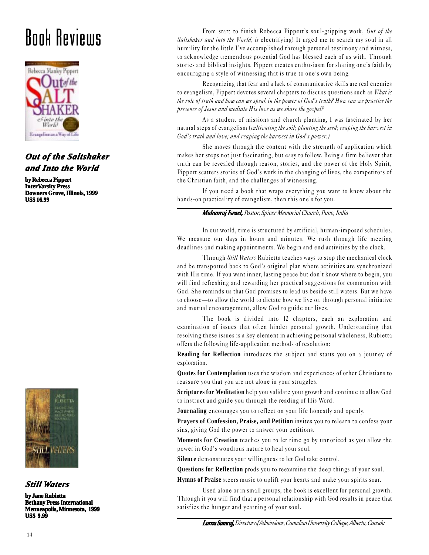### Book Reviews



#### *Out of the Saltshaker of the Saltshaker and Into the World*

**by Rebecca Pippert InterVarsity Press Downers Grove, Illinois, 1999 US\$ 16.99**



*Still Waters*

**by Jane Rubietta Bethany Press International Menneapolis, Minnesota, 1999 US\$ 9.99**

From start to finish Rebecca Pippert's soul-gripping work, Out of the Saltshaker and into the World, is electrifying! It urged me to search my soul in all humility for the little I've accomplished through personal testimony and witness, to acknowledge tremendous potential God has blessed each of us with. Through stories and biblical insights, Pippert creates enthusiasm for sharing one's faith by encouraging a style of witnessing that is true to one's own being.

Recognizing that fear and a lack of communicative skills are real enemies to evangelism, Pippert devotes several chapters to discuss questions such as What is the role of truth and how can we speak in the power of God's truth? How can we practice the presence of Jesus and mediate His love as we share the gospel?

As a student of missions and church planting, I was fascinated by her natural steps of evangelism (cultivating the soil; planting the seed; reaping the harvest in  $God's truth and love; and reaping the harvest in God's power.$ )

She moves through the content with the strength of application which makes her steps not just fascinating, but easy to follow. Being a firm believer that truth can be revealed through reason, stories, and the power of the Holy Spirit, Pippert scatters stories of God's work in the changing of lives, the competitors of the Christian faith, and the challenges of witnessing.

If you need a book that wraps everything you want to know about the hands-on practicality of evangelism, then this one's for you.

#### *Mohanraj Israel, Pastor, Spicer Memorial Church, Pune, India*

In our world, time is structured by artificial, human-imposed schedules. We measure our days in hours and minutes. We rush through life meeting deadlines and making appointments. We begin and end activities by the clock.

Through Still Waters Rubietta teaches ways to stop the mechanical clock and be transported back to God's original plan where activities are synchronized with His time. If you want inner, lasting peace but don't know where to begin, you will find refreshing and rewarding her practical suggestions for communion with God. She reminds us that God promises to lead us beside still waters. But we have to choose—to allow the world to dictate how we live or, through personal initiative and mutual encouragement, allow God to guide our lives.

The book is divided into 12 chapters, each an exploration and examination of issues that often hinder personal growth. Understanding that resolving these issues is a key element in achieving personal wholeness, Rubietta offers the following life-application methods of resolution:

**Reading for Reflection** introduces the subject and starts you on a journey of exploration.

**Quotes for Contemplation** uses the wisdom and experiences of other Christians to reassure you that you are not alone in your struggles.

**Scriptures for Meditation** help you validate your growth and continue to allow God to instruct and guide you through the reading of His Word.

**Journaling** encourages you to reflect on your life honestly and openly.

**Prayers of Confession, Praise, and Petition** invites you to relearn to confess your sins, giving God the power to answer your petitions.

**Moments for Creation** teaches you to let time go by unnoticed as you allow the power in God's wondrous nature to heal your soul.

**Silence** demonstrates your willingness to let God take control.

**Questions for Reflection** prods you to reexamine the deep things of your soul.

**Hymns of Praise** steers music to uplift your hearts and make your spirits soar.

Used alone or in small groups, the book is excellent for personal growth. Through it you will find that a personal relationship with God results in peace that satisfies the hunger and yearning of your soul.

*Lorna Samraj, Lorna Director of Admissions, Canadian University College, Alberta, Canada*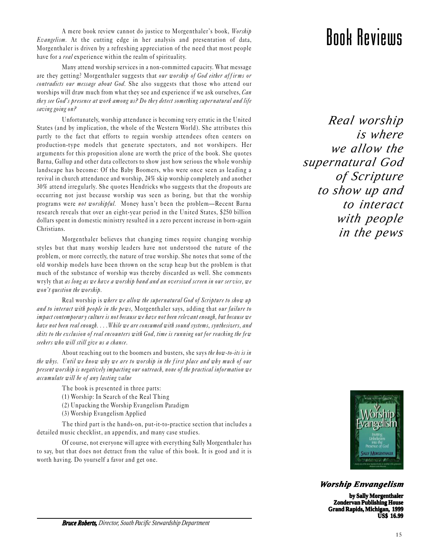A mere book review cannot do justice to Morgenthaler's book, *Worship*<br>m. At the cutting edge in her analysis and presentation of data, **EDOM REVIELLS** Evangelism. At the cutting edge in her analysis and presentation of data, Morgenthaler is driven by a refreshing appreciation of the need that most people have for a *real* experience within the realm of spirituality.

Many attend worship services in a non-committed capacity. What message are they getting? Morgenthaler suggests that our worship of God either affirms or contradicts our message about God. She also suggests that those who attend our worships will draw much from what they see and experience if we ask ourselves, Can they see God's presence at work among us? Do they detect something supernatural and life saving going on?

Unfortunately, worship attendance is becoming very erratic in the United States (and by implication, the whole of the Western World). She attributes this partly to the fact that efforts to regain worship attendees often centers on production-type models that generate spectators, and not worshipers. Her arguments for this proposition alone are worth the price of the book. She quotes Barna, Gallup and other data collectors to show just how serious the whole worship landscape has become: Of the Baby Boomers, who were once seen as leading a revival in church attendance and worship, 24% skip worship completely and another 30% attend irregularly. She quotes Hendricks who suggests that the dropouts are occurring not just because worship was seen as boring, but that the worship programs were not worshipful. Money hasn't been the problem-Recent Barna research reveals that over an eight-year period in the United States, \$250 billion dollars spent in domestic ministry resulted in a zero percent increase in born-again Christians.

Morgenthaler believes that changing times require changing worship styles but that many worship leaders have not understood the nature of the problem, or more correctly, the nature of true worship. She notes that some of the old worship models have been thrown on the scrap heap but the problem is that much of the substance of worship was thereby discarded as well. She comments wryly that as long as we have a worship band and an oversized screen in our service, we won't question the worship.

Real worship is where we allow the supernatural God of Scripture to show up and to interact with people in the pews, Morgenthaler says, adding that our failure to impact contemporar y culture is not because we have not been rele vant enough, but because we have not been real enough. . . . While we are consumed with sound systems, synthesizers, and skits to the exclusion of real encounters with God, time is running out for reaching the few seekers who will still give us a chance.

About reaching out to the boomers and busters, she says the how-to-its is in the whys. Until we know why we are to worship in the first place and why much of our present worship is negatively impacting our outreach, none of the practical information we accumulate will be of any lasting value

The book is presented in three parts:

- (1) Worship: In Search of the Real Thing
- (2) Unpacking the Worship Evangelism Paradigm
- (3) Worship Evangelism Applied

The third part is the hands-on, put-it-to-practice section that includes a detailed music checklist, an appendix, and many case studies.

Of course, not everyone will agree with everything Sally Morgenthaler has to say, but that does not detract from the value of this book. It is good and it is worth having. Do yourself a favor and get one.

*Real worship is where we allow the supernatural God of Scripture to show up and to interact with people in the pews*



*Worship Envangelism*

**by Sally Morgenthaler Zondervan Publishing House Grand Rapids, Michigan, 1999 US\$ 16.99**